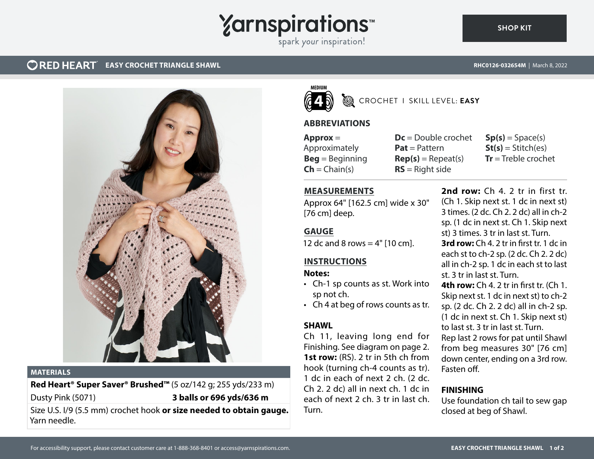## **Yarnspirations**

spark your inspiration!

#### **CORED HEART** EASY CROCHET TRIANGLE SHAWL



#### **MATERIALS**

#### **Red Heart® Super Saver® Brushed™** (5 oz/142 g; 255 yds/233 m) Dusty Pink (5071) **3 balls or 696 yds/636 m**

Size U.S. I/9 (5.5 mm) crochet hook **or size needed to obtain gauge.** Yarn needle.



#### CROCHET I SKILL LEVEL: **EASY**

#### **ABBREVIATIONS**

**Approx** = Approximately **Beg** = Beginning  $\mathsf{Ch} = \mathsf{Chain}(s)$ 

**Dc** = Double crochet **Pat** = Pattern  $Rep(s) = Rep$ eat(s) **RS** = Right side

 $Sp(s) = Space(s)$  $St(s) = Stitch(es)$ **Tr** = Treble crochet

#### **MEASUREMENTS**

Approx 64" [162.5 cm] wide x 30" [76 cm] deep.

#### **GAUGE**

12 dc and 8 rows  $=$  4" [10 cm].

#### **INSTRUCTIONS**

#### **Notes:**

- Ch-1 sp counts as st. Work into sp not ch.
- Ch 4 at beg of rows counts as tr.

#### **SHAWL**

Ch 11, leaving long end for Finishing. See diagram on page 2. **1st row:** (RS). 2 tr in 5th ch from hook (turning ch-4 counts as tr). 1 dc in each of next 2 ch. (2 dc. Ch 2. 2 dc) all in next ch. 1 dc in each of next 2 ch. 3 tr in last ch. Turn.

**2nd row:** Ch 4. 2 tr in first tr. (Ch 1. Skip next st. 1 dc in next st) 3 times. (2 dc. Ch 2. 2 dc) all in ch-2 sp. (1 dc in next st. Ch 1. Skip next st) 3 times. 3 tr in last st. Turn. **3rd row:** Ch 4. 2 tr in first tr. 1 dc in each st to ch-2 sp. (2 dc. Ch 2. 2 dc) all in ch-2 sp. 1 dc in each st to last st. 3 tr in last st. Turn. **4th row:** Ch 4. 2 tr in first tr. (Ch 1. Skip next st. 1 dc in next st) to ch-2 sp. (2 dc. Ch 2. 2 dc) all in ch-2 sp.

(1 dc in next st. Ch 1. Skip next st) to last st. 3 tr in last st. Turn.

Rep last 2 rows for pat until Shawl from beg measures 30" [76 cm] down center, ending on a 3rd row. Fasten off.

#### **FINISHING**

Use foundation ch tail to sew gap closed at beg of Shawl.